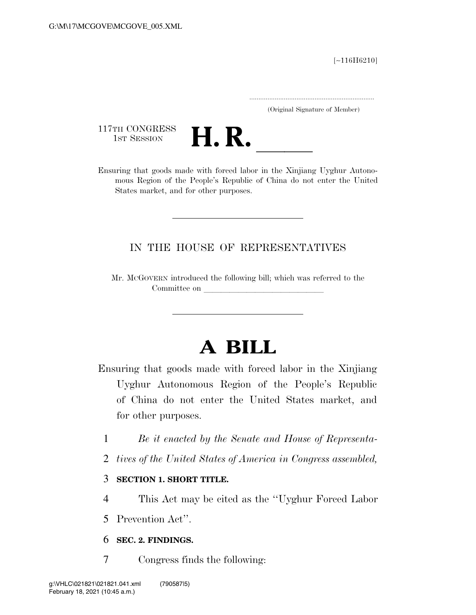[∼116H6210]

.....................................................................

(Original Signature of Member)

117TH CONGRESS<br>1st Session



117TH CONGRESS<br>1st SESSION **H. R.** <u>Insuring that goods</u> made with forced labor in the Xinjiang Uyghur Autonomous Region of the People's Republic of China do not enter the United States market, and for other purposes.

### IN THE HOUSE OF REPRESENTATIVES

Mr. MCGOVERN introduced the following bill; which was referred to the Committee on

# **A BILL**

Ensuring that goods made with forced labor in the Xinjiang Uyghur Autonomous Region of the People's Republic of China do not enter the United States market, and for other purposes.

- 1 *Be it enacted by the Senate and House of Representa-*
- 2 *tives of the United States of America in Congress assembled,*
- 3 **SECTION 1. SHORT TITLE.**
- 4 This Act may be cited as the ''Uyghur Forced Labor
- 5 Prevention Act''.
- 6 **SEC. 2. FINDINGS.**
- 7 Congress finds the following: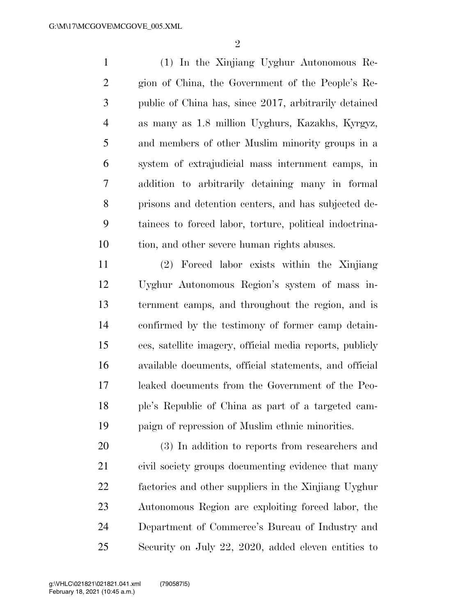(1) In the Xinjiang Uyghur Autonomous Re- gion of China, the Government of the People's Re- public of China has, since 2017, arbitrarily detained as many as 1.8 million Uyghurs, Kazakhs, Kyrgyz, and members of other Muslim minority groups in a system of extrajudicial mass internment camps, in addition to arbitrarily detaining many in formal prisons and detention centers, and has subjected de- tainees to forced labor, torture, political indoctrina-tion, and other severe human rights abuses.

 (2) Forced labor exists within the Xinjiang Uyghur Autonomous Region's system of mass in- ternment camps, and throughout the region, and is confirmed by the testimony of former camp detain- ees, satellite imagery, official media reports, publicly available documents, official statements, and official leaked documents from the Government of the Peo- ple's Republic of China as part of a targeted cam-paign of repression of Muslim ethnic minorities.

 (3) In addition to reports from researchers and civil society groups documenting evidence that many factories and other suppliers in the Xinjiang Uyghur Autonomous Region are exploiting forced labor, the Department of Commerce's Bureau of Industry and Security on July 22, 2020, added eleven entities to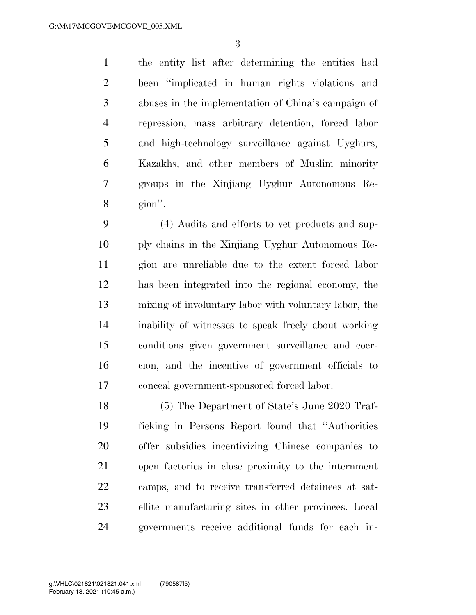the entity list after determining the entities had been ''implicated in human rights violations and abuses in the implementation of China's campaign of repression, mass arbitrary detention, forced labor and high-technology surveillance against Uyghurs, Kazakhs, and other members of Muslim minority groups in the Xinjiang Uyghur Autonomous Re-gion''.

 (4) Audits and efforts to vet products and sup- ply chains in the Xinjiang Uyghur Autonomous Re- gion are unreliable due to the extent forced labor has been integrated into the regional economy, the mixing of involuntary labor with voluntary labor, the inability of witnesses to speak freely about working conditions given government surveillance and coer- cion, and the incentive of government officials to conceal government-sponsored forced labor.

 (5) The Department of State's June 2020 Traf- ficking in Persons Report found that ''Authorities offer subsidies incentivizing Chinese companies to open factories in close proximity to the internment camps, and to receive transferred detainees at sat- ellite manufacturing sites in other provinces. Local governments receive additional funds for each in-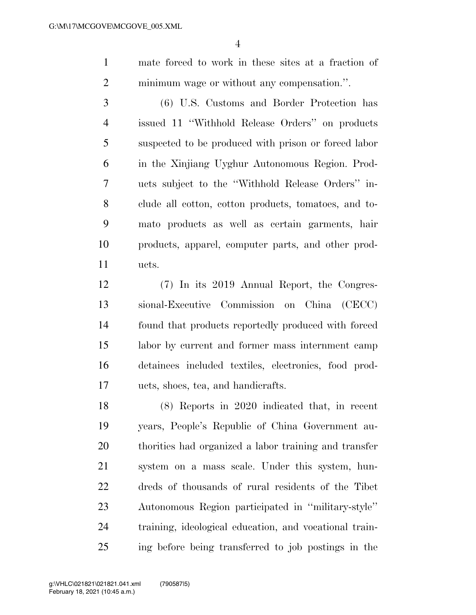mate forced to work in these sites at a fraction of minimum wage or without any compensation.''.

 (6) U.S. Customs and Border Protection has issued 11 ''Withhold Release Orders'' on products suspected to be produced with prison or forced labor in the Xinjiang Uyghur Autonomous Region. Prod- ucts subject to the ''Withhold Release Orders'' in- clude all cotton, cotton products, tomatoes, and to- mato products as well as certain garments, hair products, apparel, computer parts, and other prod-ucts.

 (7) In its 2019 Annual Report, the Congres- sional-Executive Commission on China (CECC) found that products reportedly produced with forced labor by current and former mass internment camp detainees included textiles, electronics, food prod-ucts, shoes, tea, and handicrafts.

 (8) Reports in 2020 indicated that, in recent years, People's Republic of China Government au- thorities had organized a labor training and transfer system on a mass scale. Under this system, hun- dreds of thousands of rural residents of the Tibet Autonomous Region participated in ''military-style'' training, ideological education, and vocational train-ing before being transferred to job postings in the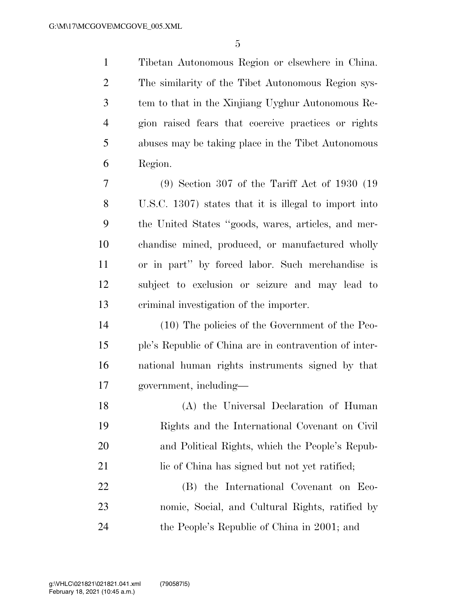Tibetan Autonomous Region or elsewhere in China. The similarity of the Tibet Autonomous Region sys- tem to that in the Xinjiang Uyghur Autonomous Re- gion raised fears that coercive practices or rights abuses may be taking place in the Tibet Autonomous Region.

 (9) Section 307 of the Tariff Act of 1930 (19 U.S.C. 1307) states that it is illegal to import into the United States ''goods, wares, articles, and mer- chandise mined, produced, or manufactured wholly or in part'' by forced labor. Such merchandise is subject to exclusion or seizure and may lead to criminal investigation of the importer.

 (10) The policies of the Government of the Peo- ple's Republic of China are in contravention of inter- national human rights instruments signed by that government, including—

 (A) the Universal Declaration of Human Rights and the International Covenant on Civil and Political Rights, which the People's Repub-21 lie of China has signed but not yet ratified; (B) the International Covenant on Eco-

 nomic, Social, and Cultural Rights, ratified by the People's Republic of China in 2001; and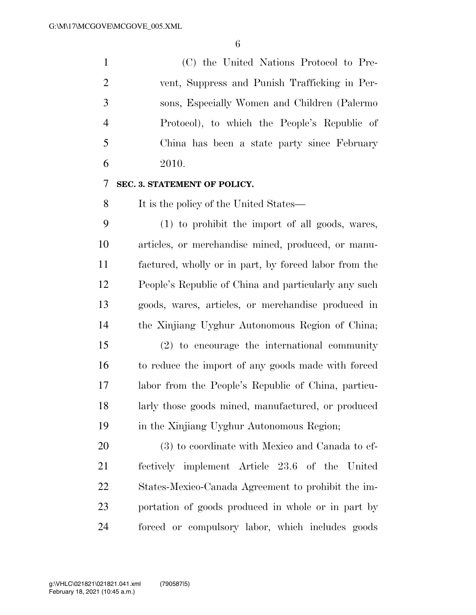(C) the United Nations Protocol to Pre- vent, Suppress and Punish Trafficking in Per- sons, Especially Women and Children (Palermo Protocol), to which the People's Republic of China has been a state party since February 2010.

#### **SEC. 3. STATEMENT OF POLICY.**

It is the policy of the United States—

 (1) to prohibit the import of all goods, wares, articles, or merchandise mined, produced, or manu- factured, wholly or in part, by forced labor from the People's Republic of China and particularly any such goods, wares, articles, or merchandise produced in the Xinjiang Uyghur Autonomous Region of China;

 (2) to encourage the international community to reduce the import of any goods made with forced labor from the People's Republic of China, particu- larly those goods mined, manufactured, or produced in the Xinjiang Uyghur Autonomous Region;

 (3) to coordinate with Mexico and Canada to ef- fectively implement Article 23.6 of the United States-Mexico-Canada Agreement to prohibit the im- portation of goods produced in whole or in part by forced or compulsory labor, which includes goods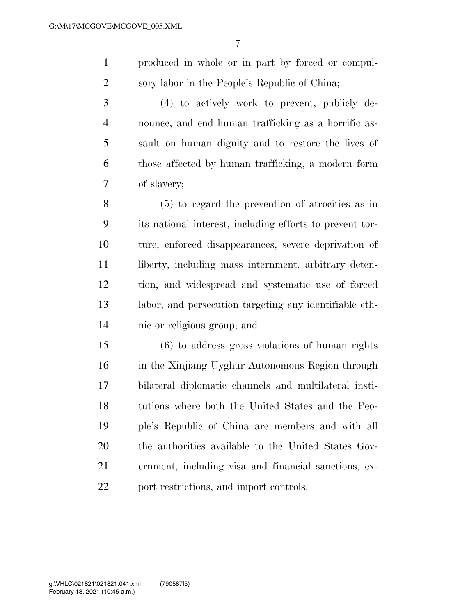produced in whole or in part by forced or compul-sory labor in the People's Republic of China;

 (4) to actively work to prevent, publicly de- nounce, and end human trafficking as a horrific as- sault on human dignity and to restore the lives of those affected by human trafficking, a modern form of slavery;

 (5) to regard the prevention of atrocities as in its national interest, including efforts to prevent tor- ture, enforced disappearances, severe deprivation of 11 liberty, including mass internment, arbitrary deten- tion, and widespread and systematic use of forced labor, and persecution targeting any identifiable eth-nic or religious group; and

 (6) to address gross violations of human rights in the Xinjiang Uyghur Autonomous Region through bilateral diplomatic channels and multilateral insti- tutions where both the United States and the Peo- ple's Republic of China are members and with all the authorities available to the United States Gov- ernment, including visa and financial sanctions, ex-22 port restrictions, and import controls.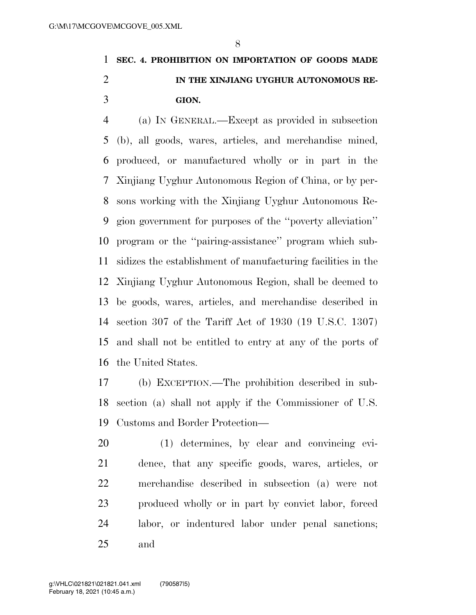### **SEC. 4. PROHIBITION ON IMPORTATION OF GOODS MADE IN THE XINJIANG UYGHUR AUTONOMOUS RE-GION.**

 (a) IN GENERAL.—Except as provided in subsection (b), all goods, wares, articles, and merchandise mined, produced, or manufactured wholly or in part in the Xinjiang Uyghur Autonomous Region of China, or by per- sons working with the Xinjiang Uyghur Autonomous Re- gion government for purposes of the ''poverty alleviation'' program or the ''pairing-assistance'' program which sub- sidizes the establishment of manufacturing facilities in the Xinjiang Uyghur Autonomous Region, shall be deemed to be goods, wares, articles, and merchandise described in section 307 of the Tariff Act of 1930 (19 U.S.C. 1307) and shall not be entitled to entry at any of the ports of the United States.

 (b) EXCEPTION.—The prohibition described in sub- section (a) shall not apply if the Commissioner of U.S. Customs and Border Protection—

 (1) determines, by clear and convincing evi- dence, that any specific goods, wares, articles, or merchandise described in subsection (a) were not produced wholly or in part by convict labor, forced labor, or indentured labor under penal sanctions; and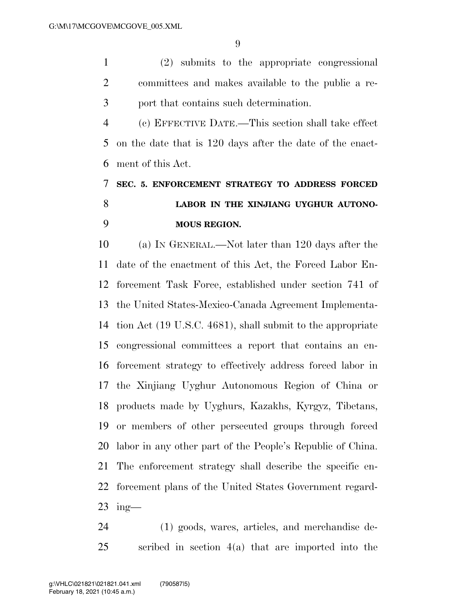(2) submits to the appropriate congressional committees and makes available to the public a re-port that contains such determination.

 (c) EFFECTIVE DATE.—This section shall take effect on the date that is 120 days after the date of the enact-ment of this Act.

### **SEC. 5. ENFORCEMENT STRATEGY TO ADDRESS FORCED LABOR IN THE XINJIANG UYGHUR AUTONO-MOUS REGION.**

 (a) IN GENERAL.—Not later than 120 days after the date of the enactment of this Act, the Forced Labor En- forcement Task Force, established under section 741 of the United States-Mexico-Canada Agreement Implementa- tion Act (19 U.S.C. 4681), shall submit to the appropriate congressional committees a report that contains an en- forcement strategy to effectively address forced labor in the Xinjiang Uyghur Autonomous Region of China or products made by Uyghurs, Kazakhs, Kyrgyz, Tibetans, or members of other persecuted groups through forced labor in any other part of the People's Republic of China. The enforcement strategy shall describe the specific en- forcement plans of the United States Government regard-ing—

 (1) goods, wares, articles, and merchandise de-scribed in section 4(a) that are imported into the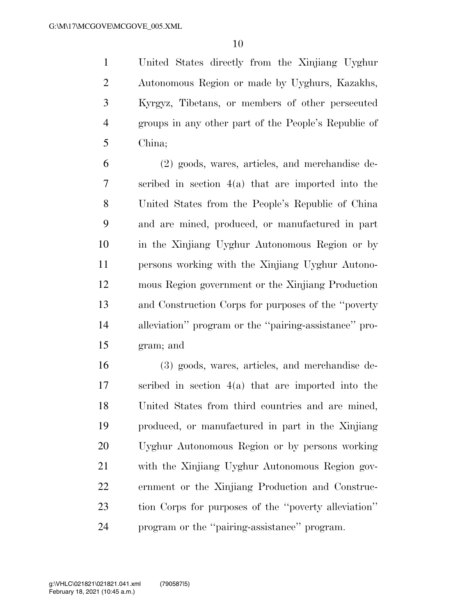United States directly from the Xinjiang Uyghur Autonomous Region or made by Uyghurs, Kazakhs, Kyrgyz, Tibetans, or members of other persecuted groups in any other part of the People's Republic of China;

 (2) goods, wares, articles, and merchandise de- scribed in section 4(a) that are imported into the United States from the People's Republic of China and are mined, produced, or manufactured in part in the Xinjiang Uyghur Autonomous Region or by persons working with the Xinjiang Uyghur Autono- mous Region government or the Xinjiang Production and Construction Corps for purposes of the ''poverty alleviation'' program or the ''pairing-assistance'' pro-gram; and

 (3) goods, wares, articles, and merchandise de- scribed in section 4(a) that are imported into the United States from third countries and are mined, produced, or manufactured in part in the Xinjiang Uyghur Autonomous Region or by persons working with the Xinjiang Uyghur Autonomous Region gov- ernment or the Xinjiang Production and Construc- tion Corps for purposes of the ''poverty alleviation'' program or the ''pairing-assistance'' program.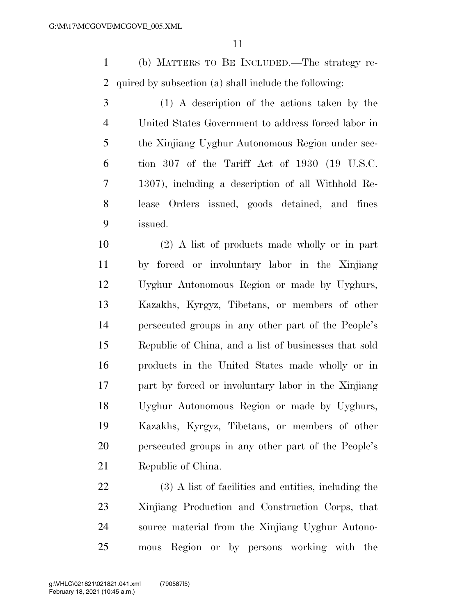(b) MATTERS TO BE INCLUDED.—The strategy re-quired by subsection (a) shall include the following:

 (1) A description of the actions taken by the United States Government to address forced labor in the Xinjiang Uyghur Autonomous Region under sec- tion 307 of the Tariff Act of 1930 (19 U.S.C. 1307), including a description of all Withhold Re- lease Orders issued, goods detained, and fines issued.

 (2) A list of products made wholly or in part by forced or involuntary labor in the Xinjiang Uyghur Autonomous Region or made by Uyghurs, Kazakhs, Kyrgyz, Tibetans, or members of other persecuted groups in any other part of the People's Republic of China, and a list of businesses that sold products in the United States made wholly or in part by forced or involuntary labor in the Xinjiang Uyghur Autonomous Region or made by Uyghurs, Kazakhs, Kyrgyz, Tibetans, or members of other persecuted groups in any other part of the People's Republic of China.

 (3) A list of facilities and entities, including the Xinjiang Production and Construction Corps, that source material from the Xinjiang Uyghur Autono-mous Region or by persons working with the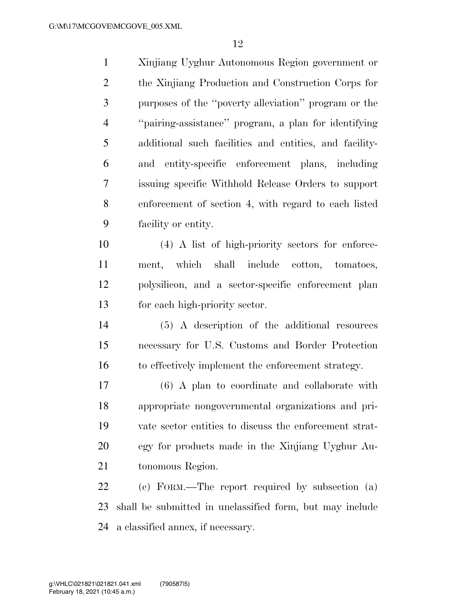Xinjiang Uyghur Autonomous Region government or the Xinjiang Production and Construction Corps for purposes of the ''poverty alleviation'' program or the ''pairing-assistance'' program, a plan for identifying additional such facilities and entities, and facility- and entity-specific enforcement plans, including issuing specific Withhold Release Orders to support enforcement of section 4, with regard to each listed facility or entity.

 (4) A list of high-priority sectors for enforce- ment, which shall include cotton, tomatoes, polysilicon, and a sector-specific enforcement plan for each high-priority sector.

 (5) A description of the additional resources necessary for U.S. Customs and Border Protection to effectively implement the enforcement strategy.

 (6) A plan to coordinate and collaborate with appropriate nongovernmental organizations and pri- vate sector entities to discuss the enforcement strat- egy for products made in the Xinjiang Uyghur Au-tonomous Region.

 (c) FORM.—The report required by subsection (a) shall be submitted in unclassified form, but may include a classified annex, if necessary.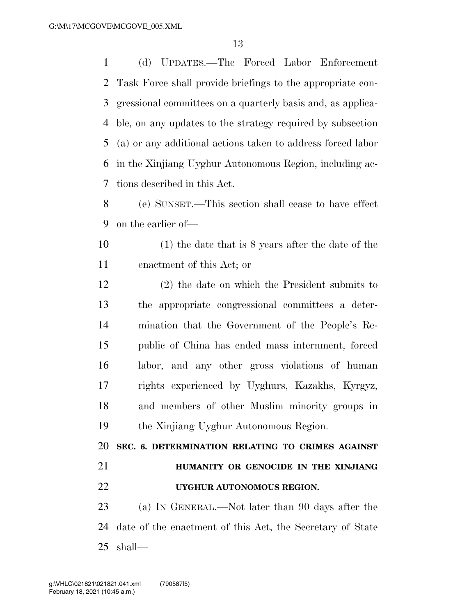(d) UPDATES.—The Forced Labor Enforcement Task Force shall provide briefings to the appropriate con- gressional committees on a quarterly basis and, as applica- ble, on any updates to the strategy required by subsection (a) or any additional actions taken to address forced labor in the Xinjiang Uyghur Autonomous Region, including ac-tions described in this Act.

 (e) SUNSET.—This section shall cease to have effect on the earlier of—

 (1) the date that is 8 years after the date of the enactment of this Act; or

 (2) the date on which the President submits to the appropriate congressional committees a deter- mination that the Government of the People's Re- public of China has ended mass internment, forced labor, and any other gross violations of human rights experienced by Uyghurs, Kazakhs, Kyrgyz, and members of other Muslim minority groups in the Xinjiang Uyghur Autonomous Region.

 **SEC. 6. DETERMINATION RELATING TO CRIMES AGAINST HUMANITY OR GENOCIDE IN THE XINJIANG** 

**UYGHUR AUTONOMOUS REGION.** 

 (a) IN GENERAL.—Not later than 90 days after the date of the enactment of this Act, the Secretary of State shall—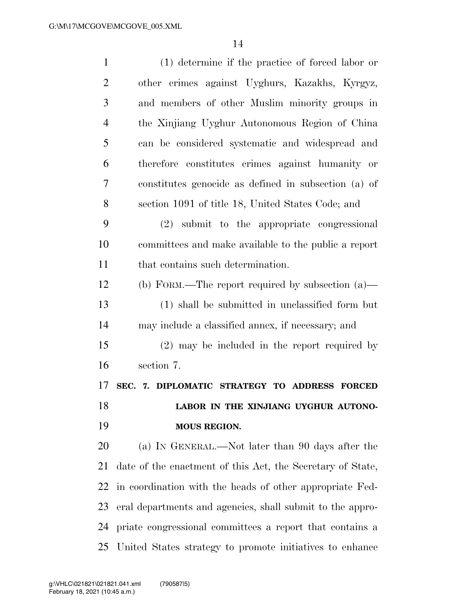| $\mathbf{1}$   | $(1)$ determine if the practice of forced labor or         |
|----------------|------------------------------------------------------------|
| $\overline{2}$ | other crimes against Uyghurs, Kazakhs, Kyrgyz,             |
| 3              | and members of other Muslim minority groups in             |
| $\overline{4}$ | the Xinjiang Uyghur Autonomous Region of China             |
| 5              | can be considered systematic and widespread and            |
| 6              | therefore constitutes crimes against humanity or           |
| 7              | constitutes genocide as defined in subsection (a) of       |
| 8              | section 1091 of title 18, United States Code; and          |
| 9              | (2) submit to the appropriate congressional                |
| 10             | committees and make available to the public a report       |
| 11             | that contains such determination.                          |
| 12             | (b) FORM.—The report required by subsection $(a)$ —        |
| 13             | (1) shall be submitted in unclassified form but            |
| 14             | may include a classified annex, if necessary; and          |
| 15             | $(2)$ may be included in the report required by            |
| 16             | section 7.                                                 |
| 17             | SEC. 7. DIPLOMATIC STRATEGY TO ADDRESS<br><b>FORCED</b>    |
| 18             | LABOR IN THE XINJIANG UYGHUR AUTONO-                       |
| 19             | <b>MOUS REGION.</b>                                        |
| 20             | (a) IN GENERAL.—Not later than 90 days after the           |
| 21             | date of the enactment of this Act, the Secretary of State, |
| 22             | in coordination with the heads of other appropriate Fed-   |
| 23             | eral departments and agencies, shall submit to the appro-  |
| 24             | priate congressional committees a report that contains a   |
| 25             | United States strategy to promote initiatives to enhance   |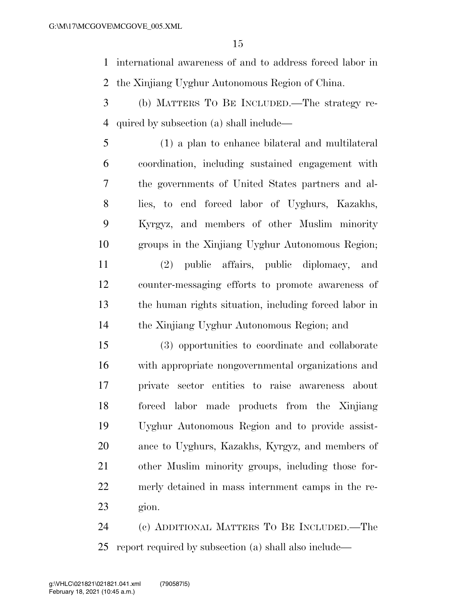international awareness of and to address forced labor in the Xinjiang Uyghur Autonomous Region of China.

- (b) MATTERS TO BE INCLUDED.—The strategy re-quired by subsection (a) shall include—
- (1) a plan to enhance bilateral and multilateral coordination, including sustained engagement with the governments of United States partners and al- lies, to end forced labor of Uyghurs, Kazakhs, Kyrgyz, and members of other Muslim minority groups in the Xinjiang Uyghur Autonomous Region; (2) public affairs, public diplomacy, and counter-messaging efforts to promote awareness of the human rights situation, including forced labor in
- the Xinjiang Uyghur Autonomous Region; and
- (3) opportunities to coordinate and collaborate with appropriate nongovernmental organizations and private sector entities to raise awareness about forced labor made products from the Xinjiang Uyghur Autonomous Region and to provide assist- ance to Uyghurs, Kazakhs, Kyrgyz, and members of other Muslim minority groups, including those for- merly detained in mass internment camps in the re-gion.
- (c) ADDITIONAL MATTERS TO BE INCLUDED.—The report required by subsection (a) shall also include—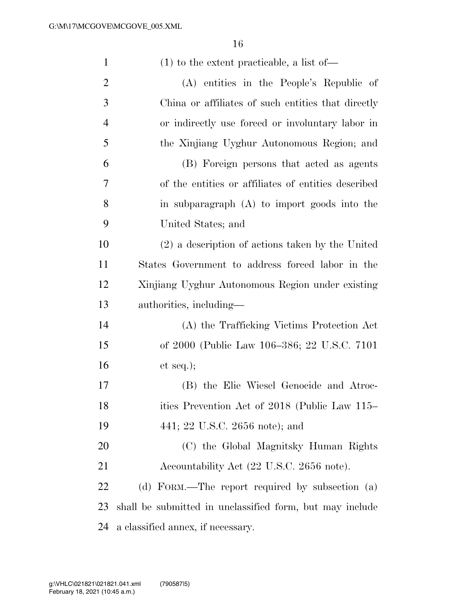| $\mathbf{1}$   | $(1)$ to the extent practicable, a list of —             |
|----------------|----------------------------------------------------------|
| $\overline{2}$ | (A) entities in the People's Republic of                 |
| 3              | China or affiliates of such entities that directly       |
| $\overline{4}$ | or indirectly use forced or involuntary labor in         |
| 5              | the Xinjiang Uyghur Autonomous Region; and               |
| 6              | (B) Foreign persons that acted as agents                 |
| 7              | of the entities or affiliates of entities described      |
| 8              | in subparagraph (A) to import goods into the             |
| 9              | United States; and                                       |
| 10             | (2) a description of actions taken by the United         |
| 11             | States Government to address forced labor in the         |
| 12             | Xinjiang Uyghur Autonomous Region under existing         |
| 13             | authorities, including—                                  |
| 14             | (A) the Trafficking Victims Protection Act               |
| 15             | of 2000 (Public Law 106–386; 22 U.S.C. 7101)             |
| 16             | et seq.);                                                |
| 17             | (B) the Elie Wiesel Genocide and Atroc-                  |
| 18             | ities Prevention Act of 2018 (Public Law 115–            |
| 19             | 441; 22 U.S.C. 2656 note); and                           |
| 20             | (C) the Global Magnitsky Human Rights                    |
| 21             | Accountability Act (22 U.S.C. 2656 note).                |
| 22             | (d) FORM.—The report required by subsection (a)          |
| 23             | shall be submitted in unclassified form, but may include |
| 24             | a classified annex, if necessary.                        |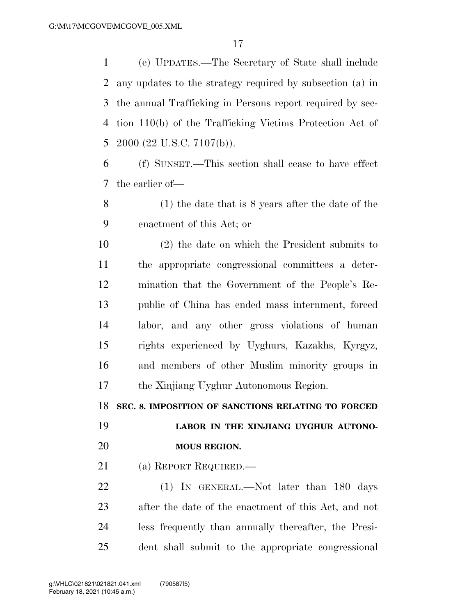(e) UPDATES.—The Secretary of State shall include any updates to the strategy required by subsection (a) in the annual Trafficking in Persons report required by sec- tion 110(b) of the Trafficking Victims Protection Act of 2000 (22 U.S.C. 7107(b)).

 (f) SUNSET.—This section shall cease to have effect the earlier of—

 (1) the date that is 8 years after the date of the enactment of this Act; or

 (2) the date on which the President submits to the appropriate congressional committees a deter- mination that the Government of the People's Re- public of China has ended mass internment, forced labor, and any other gross violations of human rights experienced by Uyghurs, Kazakhs, Kyrgyz, and members of other Muslim minority groups in the Xinjiang Uyghur Autonomous Region.

**SEC. 8. IMPOSITION OF SANCTIONS RELATING TO FORCED** 

 **LABOR IN THE XINJIANG UYGHUR AUTONO-MOUS REGION.** 

(a) REPORT REQUIRED.—

22 (1) IN GENERAL.—Not later than 180 days after the date of the enactment of this Act, and not less frequently than annually thereafter, the Presi-dent shall submit to the appropriate congressional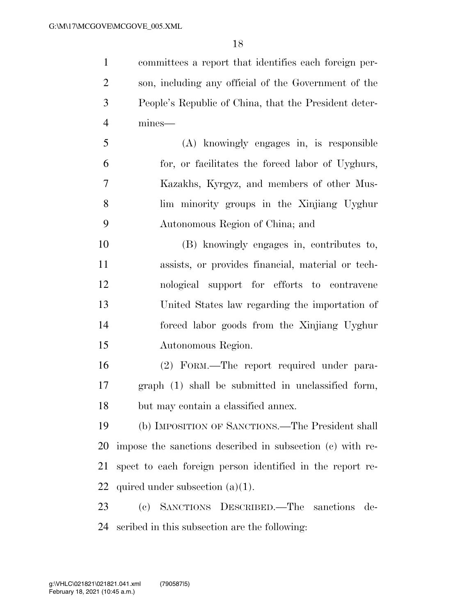committees a report that identifies each foreign per- son, including any official of the Government of the People's Republic of China, that the President deter-mines—

 (A) knowingly engages in, is responsible for, or facilitates the forced labor of Uyghurs, Kazakhs, Kyrgyz, and members of other Mus- lim minority groups in the Xinjiang Uyghur Autonomous Region of China; and

 (B) knowingly engages in, contributes to, assists, or provides financial, material or tech- nological support for efforts to contravene United States law regarding the importation of forced labor goods from the Xinjiang Uyghur Autonomous Region.

 (2) FORM.—The report required under para- graph (1) shall be submitted in unclassified form, but may contain a classified annex.

 (b) IMPOSITION OF SANCTIONS.—The President shall impose the sanctions described in subsection (c) with re- spect to each foreign person identified in the report re-quired under subsection (a)(1).

 (c) SANCTIONS DESCRIBED.—The sanctions de-scribed in this subsection are the following: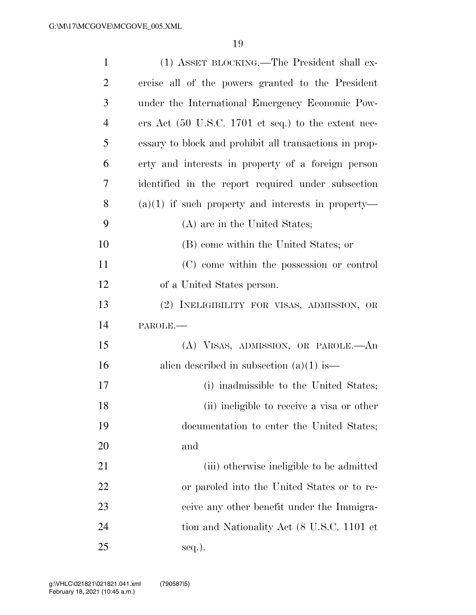| $\mathbf{1}$   | (1) ASSET BLOCKING.—The President shall ex-                            |
|----------------|------------------------------------------------------------------------|
| $\overline{2}$ | ercise all of the powers granted to the President                      |
| 3              | under the International Emergency Economic Pow-                        |
| $\overline{4}$ | ers Act $(50 \text{ U.S.C. } 1701 \text{ et seq.})$ to the extent nec- |
| 5              | essary to block and prohibit all transactions in prop-                 |
| 6              | erty and interests in property of a foreign person                     |
| 7              | identified in the report required under subsection                     |
| 8              | $(a)(1)$ if such property and interests in property—                   |
| 9              | (A) are in the United States;                                          |
| 10             | (B) come within the United States; or                                  |
| 11             | (C) come within the possession or control                              |
| 12             | of a United States person.                                             |
| 13             | (2) INELIGIBILITY FOR VISAS, ADMISSION, OR                             |
| 14             | PAROLE.                                                                |
| 15             | (A) VISAS, ADMISSION, OR PAROLE.—An                                    |
| 16             | alien described in subsection $(a)(1)$ is—                             |
| 17             | (i) inadmissible to the United States;                                 |
| 18             | (ii) ineligible to receive a visa or other                             |
| 19             | documentation to enter the United States;                              |
| 20             | and                                                                    |
| 21             | (iii) otherwise ineligible to be admitted                              |
| 22             | or paroled into the United States or to re-                            |
| 23             | ceive any other benefit under the Immigra-                             |
| 24             | tion and Nationality Act (8 U.S.C. 1101 et                             |
| 25             | seq.).                                                                 |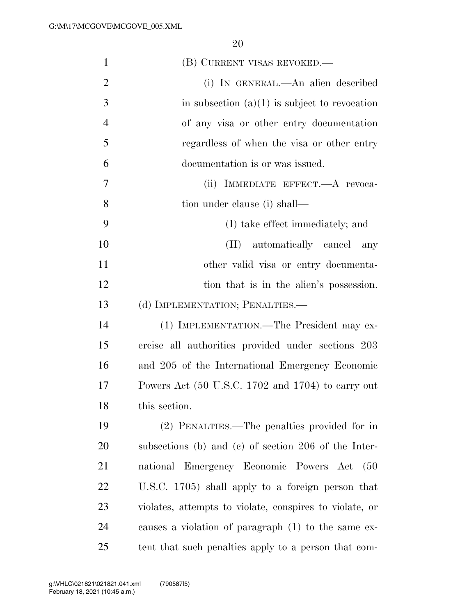| $\mathbf{1}$   | (B) CURRENT VISAS REVOKED.—                             |
|----------------|---------------------------------------------------------|
| $\overline{2}$ | (i) IN GENERAL.—An alien described                      |
| 3              | in subsection $(a)(1)$ is subject to revocation         |
| $\overline{4}$ | of any visa or other entry documentation                |
| 5              | regardless of when the visa or other entry              |
| 6              | documentation is or was issued.                         |
| 7              | (ii) IMMEDIATE EFFECT.—A revoca-                        |
| 8              | tion under clause (i) shall—                            |
| 9              | (I) take effect immediately; and                        |
| 10             | (II) automatically cancel<br>any                        |
| 11             | other valid visa or entry documenta-                    |
| 12             | tion that is in the alien's possession.                 |
| 13             | (d) IMPLEMENTATION; PENALTIES.—                         |
| 14             | (1) IMPLEMENTATION.—The President may ex-               |
| 15             | ercise all authorities provided under sections 203      |
| 16             | and 205 of the International Emergency Economic         |
| 17             | Powers Act (50 U.S.C. 1702 and 1704) to carry out       |
| 18             | this section.                                           |
| 19             | (2) PENALTIES.—The penalties provided for in            |
| 20             | subsections (b) and (c) of section 206 of the Inter-    |
| 21             | national Emergency Economic Powers Act<br>(50)          |
| 22             | U.S.C. 1705) shall apply to a foreign person that       |
| 23             | violates, attempts to violate, conspires to violate, or |
| 24             | causes a violation of paragraph (1) to the same ex-     |
| 25             | tent that such penalties apply to a person that com-    |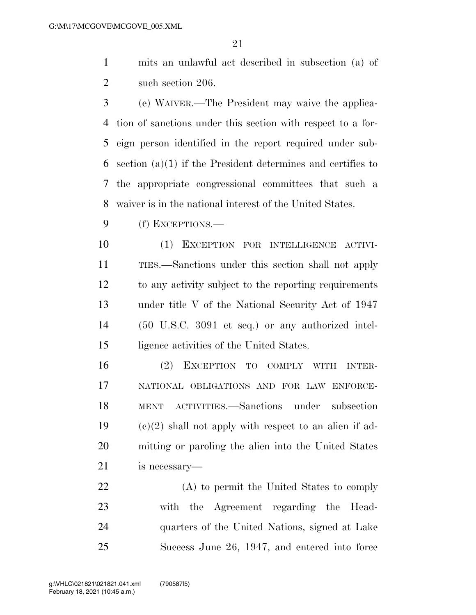mits an unlawful act described in subsection (a) of 2 such section 206.

 (e) WAIVER.—The President may waive the applica- tion of sanctions under this section with respect to a for- eign person identified in the report required under sub- section (a)(1) if the President determines and certifies to the appropriate congressional committees that such a waiver is in the national interest of the United States.

(f) EXCEPTIONS.—

 (1) EXCEPTION FOR INTELLIGENCE ACTIVI- TIES.—Sanctions under this section shall not apply to any activity subject to the reporting requirements under title V of the National Security Act of 1947 (50 U.S.C. 3091 et seq.) or any authorized intel-ligence activities of the United States.

 (2) EXCEPTION TO COMPLY WITH INTER- NATIONAL OBLIGATIONS AND FOR LAW ENFORCE- MENT ACTIVITIES.—Sanctions under subsection  $(c)(2)$  shall not apply with respect to an alien if ad- mitting or paroling the alien into the United States is necessary—

 (A) to permit the United States to comply with the Agreement regarding the Head- quarters of the United Nations, signed at Lake Success June 26, 1947, and entered into force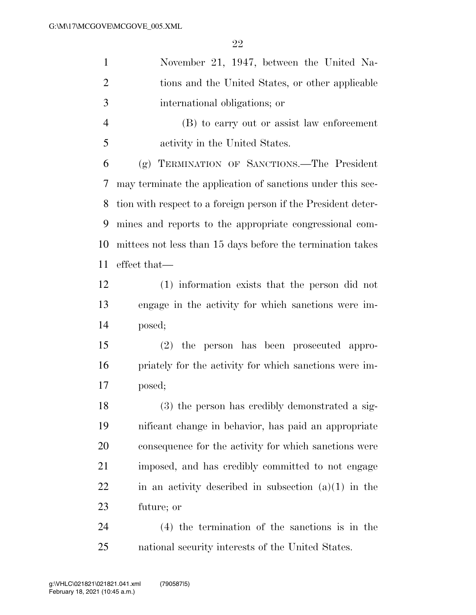| $\mathbf{1}$   | November 21, 1947, between the United Na-                     |
|----------------|---------------------------------------------------------------|
| $\overline{2}$ | tions and the United States, or other applicable              |
| 3              | international obligations; or                                 |
| $\overline{4}$ | (B) to carry out or assist law enforcement                    |
| 5              | activity in the United States.                                |
| 6              | (g) TERMINATION OF SANCTIONS.—The President                   |
| 7              | may terminate the application of sanctions under this sec-    |
| 8              | tion with respect to a foreign person if the President deter- |
| 9              | mines and reports to the appropriate congressional com-       |
| 10             | mittees not less than 15 days before the termination takes    |
| 11             | effect that—                                                  |
| 12             | (1) information exists that the person did not                |
| 13             | engage in the activity for which sanctions were im-           |
| 14             | posed;                                                        |
| 15             | (2) the person has been prosecuted appro-                     |
| 16             | priately for the activity for which sanctions were im-        |
| 17             | posed;                                                        |
| 18             | (3) the person has credibly demonstrated a sig-               |
| 19             | nificant change in behavior, has paid an appropriate          |
| 20             | consequence for the activity for which sanctions were         |
| 21             | imposed, and has credibly committed to not engage             |
| 22             | in an activity described in subsection $(a)(1)$ in the        |
| 23             | future; or                                                    |
| 24             | $(4)$ the termination of the sanctions is in the              |
| 25             | national security interests of the United States.             |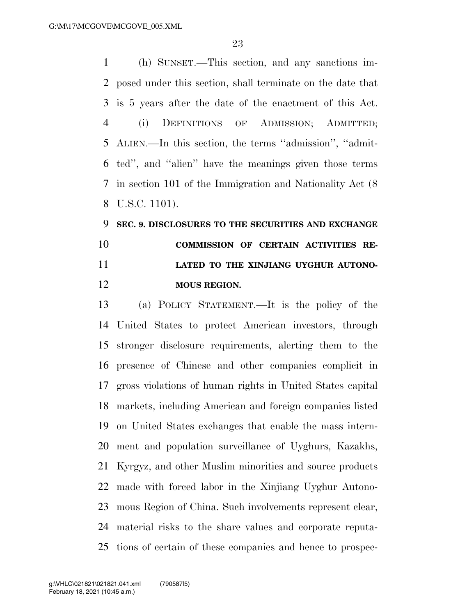(h) SUNSET.—This section, and any sanctions im- posed under this section, shall terminate on the date that is 5 years after the date of the enactment of this Act. (i) DEFINITIONS OF ADMISSION; ADMITTED; ALIEN.—In this section, the terms ''admission'', ''admit- ted'', and ''alien'' have the meanings given those terms in section 101 of the Immigration and Nationality Act (8 U.S.C. 1101).

## **SEC. 9. DISCLOSURES TO THE SECURITIES AND EXCHANGE COMMISSION OF CERTAIN ACTIVITIES RE- LATED TO THE XINJIANG UYGHUR AUTONO-MOUS REGION.**

 (a) POLICY STATEMENT.—It is the policy of the United States to protect American investors, through stronger disclosure requirements, alerting them to the presence of Chinese and other companies complicit in gross violations of human rights in United States capital markets, including American and foreign companies listed on United States exchanges that enable the mass intern- ment and population surveillance of Uyghurs, Kazakhs, Kyrgyz, and other Muslim minorities and source products made with forced labor in the Xinjiang Uyghur Autono- mous Region of China. Such involvements represent clear, material risks to the share values and corporate reputa-tions of certain of these companies and hence to prospec-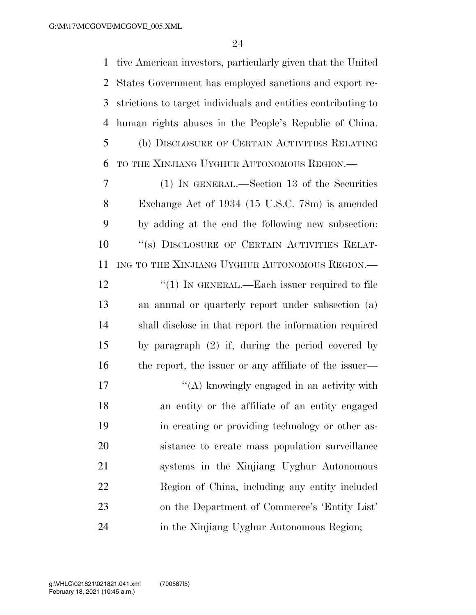tive American investors, particularly given that the United States Government has employed sanctions and export re- strictions to target individuals and entities contributing to human rights abuses in the People's Republic of China. (b) DISCLOSURE OF CERTAIN ACTIVITIES RELATING TO THE XINJIANG UYGHUR AUTONOMOUS REGION.— (1) IN GENERAL.—Section 13 of the Securities

 Exchange Act of 1934 (15 U.S.C. 78m) is amended by adding at the end the following new subsection: 10 "(s) DISCLOSURE OF CERTAIN ACTIVITIES RELAT- ING TO THE XINJIANG UYGHUR AUTONOMOUS REGION.— 12 "(1) IN GENERAL.—Each issuer required to file an annual or quarterly report under subsection (a) shall disclose in that report the information required by paragraph (2) if, during the period covered by 16 the report, the issuer or any affiliate of the issuer—

 $\mathcal{L}(\mathbf{A})$  knowingly engaged in an activity with an entity or the affiliate of an entity engaged in creating or providing technology or other as- sistance to create mass population surveillance systems in the Xinjiang Uyghur Autonomous Region of China, including any entity included on the Department of Commerce's 'Entity List' 24 in the Xinjiang Uyghur Autonomous Region;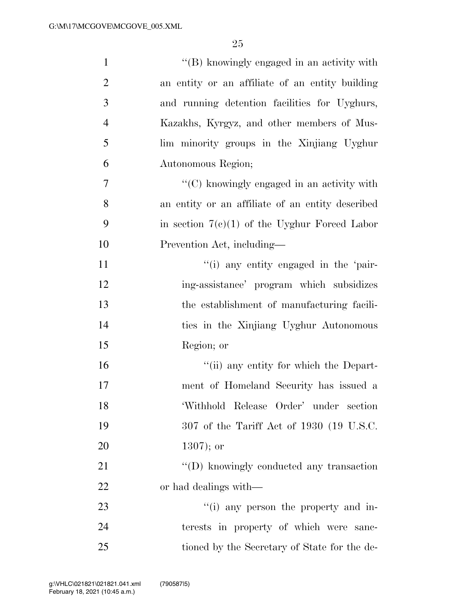| $\mathbf{1}$     | "(B) knowingly engaged in an activity with             |
|------------------|--------------------------------------------------------|
| $\overline{2}$   | an entity or an affiliate of an entity building        |
| 3                | and running detention facilities for Uyghurs,          |
| $\overline{4}$   | Kazakhs, Kyrgyz, and other members of Mus-             |
| 5                | lim minority groups in the Xinjiang Uyghur             |
| 6                | Autonomous Region;                                     |
| $\boldsymbol{7}$ | $\cdot\cdot$ (C) knowingly engaged in an activity with |
| 8                | an entity or an affiliate of an entity described       |
| 9                | in section $7(c)(1)$ of the Uyghur Forced Labor        |
| 10               | Prevention Act, including-                             |
| 11               | "(i) any entity engaged in the 'pair-                  |
| 12               | ing-assistance' program which subsidizes               |
| 13               | the establishment of manufacturing facili-             |
| 14               | ties in the Xinjiang Uyghur Autonomous                 |
| 15               | Region; or                                             |
| 16               | "(ii) any entity for which the Depart-                 |
| $17\,$           | ment of Homeland Security has issued a                 |
| 18               | 'Withhold Release Order' under section                 |
| 19               | 307 of the Tariff Act of 1930 (19 U.S.C.               |
| 20               | $1307$ ; or                                            |
| 21               | "(D) knowingly conducted any transaction               |
| 22               | or had dealings with—                                  |
| 23               | "(i) any person the property and in-                   |
| 24               | terests in property of which were sanc-                |
| 25               | tioned by the Secretary of State for the de-           |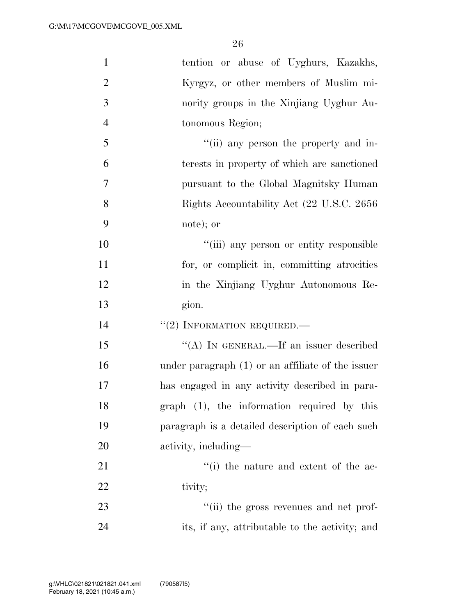| $\mathbf{1}$   | tention or abuse of Uyghurs, Kazakhs,               |
|----------------|-----------------------------------------------------|
| $\mathfrak{2}$ | Kyrgyz, or other members of Muslim mi-              |
| 3              | nority groups in the Xinjiang Uyghur Au-            |
| $\overline{4}$ | tonomous Region;                                    |
| 5              | "(ii) any person the property and in-               |
| 6              | terests in property of which are sanctioned         |
| $\overline{7}$ | pursuant to the Global Magnitsky Human              |
| 8              | Rights Accountability Act (22 U.S.C. 2656)          |
| 9              | note); or                                           |
| 10             | "(iii) any person or entity responsible             |
| 11             | for, or complicit in, committing atrocities         |
| 12             | in the Xinjiang Uyghur Autonomous Re-               |
| 13             | gion.                                               |
| 14             | $``(2)$ INFORMATION REQUIRED.—                      |
| 15             | "(A) IN GENERAL.—If an issuer described             |
| 16             | under paragraph $(1)$ or an affiliate of the issuer |
| 17             | has engaged in any activity described in para-      |
| 18             | graph (1), the information required by this         |
| 19             | paragraph is a detailed description of each such    |
| 20             | activity, including—                                |
| 21             | "(i) the nature and extent of the ac-               |
| 22             | tivity;                                             |
| 23             | "(ii) the gross revenues and net prof-              |
| 24             | its, if any, attributable to the activity; and      |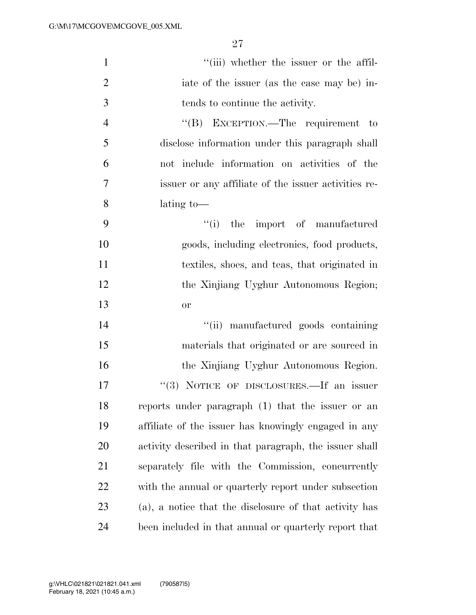| $\mathbf{1}$   | "(iii) whether the issuer or the affil-                |
|----------------|--------------------------------------------------------|
| $\overline{2}$ | iate of the issuer (as the case may be) in-            |
| 3              | tends to continue the activity.                        |
| $\overline{4}$ | "(B) EXCEPTION.—The requirement to                     |
| 5              | disclose information under this paragraph shall        |
| 6              | not include information on activities of the           |
| $\tau$         | issuer or any affiliate of the issuer activities re-   |
| 8              | lating to-                                             |
| 9              | ``(i)<br>the import of manufactured                    |
| 10             | goods, including electronics, food products,           |
| 11             | textiles, shoes, and teas, that originated in          |
| 12             | the Xinjiang Uyghur Autonomous Region;                 |
| 13             | or                                                     |
| 14             | "(ii) manufactured goods containing                    |
| 15             | materials that originated or are sourced in            |
| 16             | the Xinjiang Uyghur Autonomous Region.                 |
| 17             | "(3) NOTICE OF DISCLOSURES.—If an issuer               |
| 18             | reports under paragraph (1) that the issuer or an      |
| 19             | affiliate of the issuer has knowingly engaged in any   |
| <b>20</b>      | activity described in that paragraph, the issuer shall |
| 21             | separately file with the Commission, concurrently      |
| 22             | with the annual or quarterly report under subsection   |
| 23             | (a), a notice that the disclosure of that activity has |
| 24             | been included in that annual or quarterly report that  |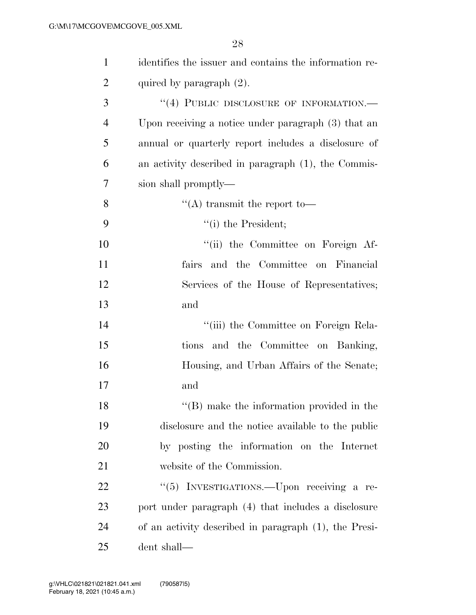| $\mathbf{1}$   | identifies the issuer and contains the information re- |
|----------------|--------------------------------------------------------|
| $\overline{2}$ | quired by paragraph $(2)$ .                            |
| 3              | "(4) PUBLIC DISCLOSURE OF INFORMATION.-                |
| 4              | Upon receiving a notice under paragraph $(3)$ that an  |
| 5              | annual or quarterly report includes a disclosure of    |
| 6              | an activity described in paragraph (1), the Commis-    |
| 7              | sion shall promptly—                                   |
| 8              | "(A) transmit the report to-                           |
| 9              | $"(i)$ the President;                                  |
| 10             | "(ii) the Committee on Foreign Af-                     |
| 11             | fairs and the Committee on Financial                   |
| 12             | Services of the House of Representatives;              |
| 13             | and                                                    |
| 14             | "(iii) the Committee on Foreign Rela-                  |
| 15             | tions and the Committee on Banking,                    |
| 16             | Housing, and Urban Affairs of the Senate;              |
| 17             | and                                                    |
| 18             | $\lq\lq$ (B) make the information provided in the      |
| 19             | disclosure and the notice available to the public      |
| 20             | by posting the information on the Internet             |
| 21             | website of the Commission.                             |
| 22             | "(5) INVESTIGATIONS.—Upon receiving a re-              |
| 23             | port under paragraph (4) that includes a disclosure    |
| 24             | of an activity described in paragraph (1), the Presi-  |
| 25             | dent shall—                                            |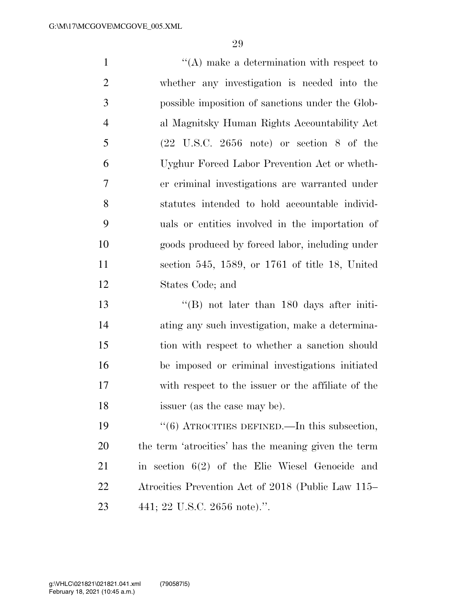| $\mathbf{1}$   | $\lq\lq$ make a determination with respect to                |
|----------------|--------------------------------------------------------------|
| $\overline{2}$ | whether any investigation is needed into the                 |
| 3              | possible imposition of sanctions under the Glob-             |
| $\overline{4}$ | al Magnitsky Human Rights Accountability Act                 |
| 5              | $(22 \text{ U.S.C. } 2656 \text{ note})$ or section 8 of the |
| 6              | Uyghur Forced Labor Prevention Act or wheth-                 |
| $\overline{7}$ | er criminal investigations are warranted under               |
| 8              | statutes intended to hold accountable individ-               |
| 9              | uals or entities involved in the importation of              |
| 10             | goods produced by forced labor, including under              |
| 11             | section 545, 1589, or $1761$ of title 18, United             |
| 12             | States Code; and                                             |
| 13             | $\lq\lq$ (B) not later than 180 days after initi-            |
| 14             | ating any such investigation, make a determina-              |
| 15             | tion with respect to whether a sanction should               |
| 16             | be imposed or criminal investigations initiated              |
| 17             | with respect to the issuer or the affiliate of the           |
| 18             | issuer (as the case may be).                                 |
| 19             | "(6) ATROCITIES DEFINED.—In this subsection,                 |

 the term 'atrocities' has the meaning given the term in section 6(2) of the Elie Wiesel Genocide and Atrocities Prevention Act of 2018 (Public Law 115– 441; 22 U.S.C. 2656 note).''.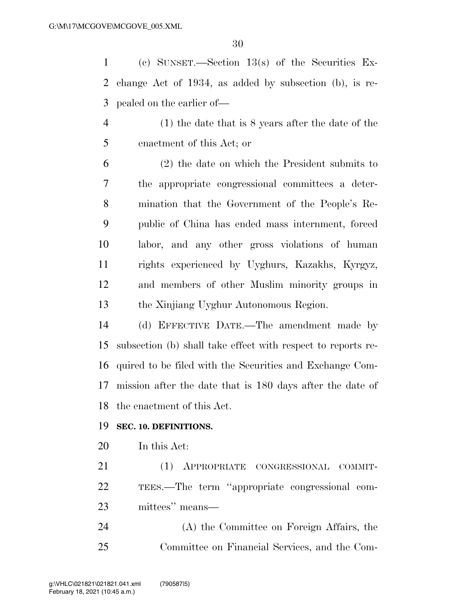(c) SUNSET.—Section 13(s) of the Securities Ex- change Act of 1934, as added by subsection (b), is re-pealed on the earlier of—

 (1) the date that is 8 years after the date of the enactment of this Act; or

 (2) the date on which the President submits to the appropriate congressional committees a deter- mination that the Government of the People's Re- public of China has ended mass internment, forced labor, and any other gross violations of human rights experienced by Uyghurs, Kazakhs, Kyrgyz, and members of other Muslim minority groups in the Xinjiang Uyghur Autonomous Region.

 (d) EFFECTIVE DATE.—The amendment made by subsection (b) shall take effect with respect to reports re- quired to be filed with the Securities and Exchange Com- mission after the date that is 180 days after the date of the enactment of this Act.

#### **SEC. 10. DEFINITIONS.**

In this Act:

 (1) APPROPRIATE CONGRESSIONAL COMMIT- TEES.—The term ''appropriate congressional com-mittees'' means—

 (A) the Committee on Foreign Affairs, the Committee on Financial Services, and the Com-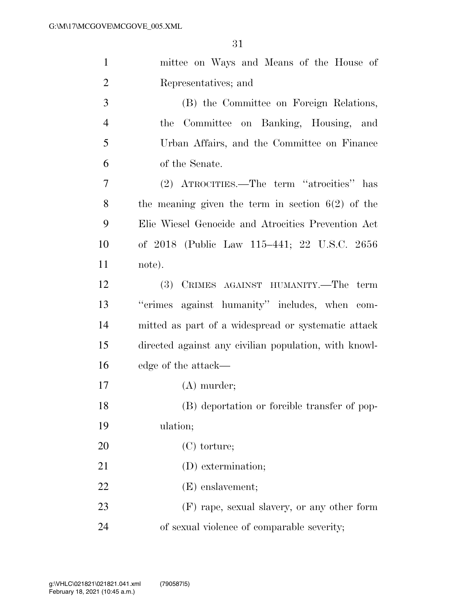| $\mathbf{1}$   | mittee on Ways and Means of the House of              |
|----------------|-------------------------------------------------------|
| $\overline{2}$ | Representatives; and                                  |
| 3              | (B) the Committee on Foreign Relations,               |
| $\overline{4}$ | the Committee on Banking, Housing, and                |
| 5              | Urban Affairs, and the Committee on Finance           |
| 6              | of the Senate.                                        |
| 7              | (2) ATROCITIES.—The term "atrocities" has             |
| 8              | the meaning given the term in section $6(2)$ of the   |
| 9              | Elie Wiesel Genocide and Atrocities Prevention Act    |
| 10             | of 2018 (Public Law 115–441; 22 U.S.C. 2656           |
| 11             | note).                                                |
| 12             | (3) CRIMES AGAINST HUMANITY.—The term                 |
| 13             | "crimes against humanity" includes, when com-         |
| 14             | mitted as part of a widespread or systematic attack   |
| 15             | directed against any civilian population, with knowl- |
| 16             | edge of the attack—                                   |
| 17             | $(A)$ murder;                                         |
| 18             | (B) deportation or forcible transfer of pop-          |
| 19             | ulation;                                              |
| 20             | $(C)$ torture;                                        |
| 21             | (D) extermination;                                    |
| 22             | $(E)$ enslavement;                                    |
| 23             | (F) rape, sexual slavery, or any other form           |
| 24             | of sexual violence of comparable severity;            |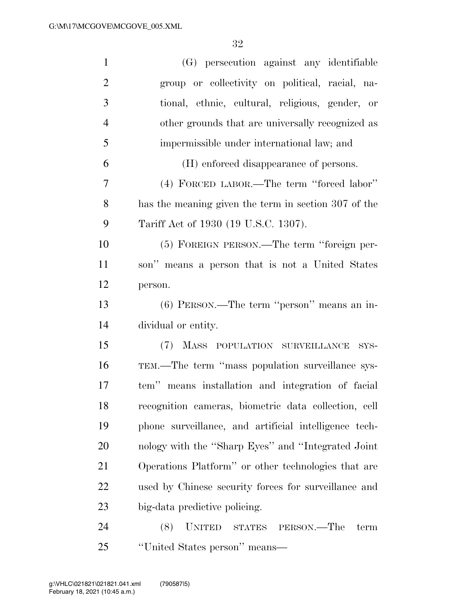| $\mathbf{1}$   | (G) persecution against any identifiable              |
|----------------|-------------------------------------------------------|
| $\overline{2}$ | group or collectivity on political, racial, na-       |
| 3              | tional, ethnic, cultural, religious, gender, or       |
| $\overline{4}$ | other grounds that are universally recognized as      |
| 5              | impermissible under international law; and            |
| 6              | (H) enforced disappearance of persons.                |
| $\overline{7}$ | (4) FORCED LABOR.—The term "forced labor"             |
| 8              | has the meaning given the term in section 307 of the  |
| 9              | Tariff Act of 1930 (19 U.S.C. 1307).                  |
| 10             | (5) FOREIGN PERSON.—The term "foreign per-            |
| 11             | son" means a person that is not a United States       |
| 12             | person.                                               |
| 13             | (6) PERSON.—The term "person" means an in-            |
| 14             | dividual or entity.                                   |
| 15             | (7) MASS POPULATION SURVEILLANCE<br>SYS-              |
| 16             | TEM.—The term "mass population surveillance sys-      |
| 17             | tem" means installation and integration of facial     |
| 18             | recognition cameras, biometric data collection, cell  |
| 19             | phone surveillance, and artificial intelligence tech- |
| 20             | nology with the "Sharp Eyes" and "Integrated Joint"   |
| 21             | Operations Platform" or other technologies that are   |
| 22             | used by Chinese security forces for surveillance and  |
| 23             | big-data predictive policing.                         |
| 24             | <b>UNITED</b><br>(8)<br>STATES PERSON.—The<br>term    |
| 25             | "United States person" means-                         |